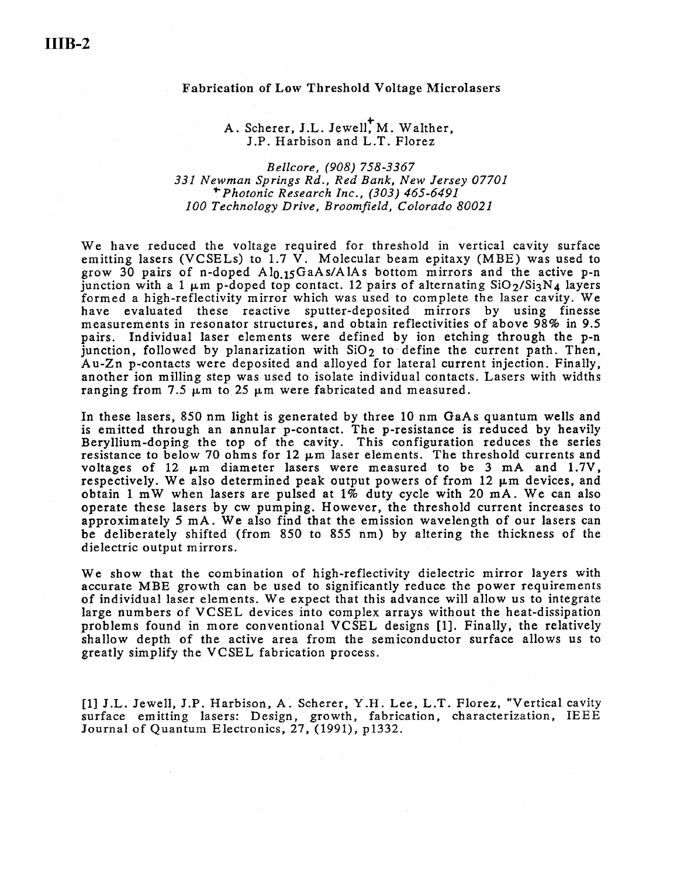## Fabrication of Low Threshold Voltage Microlasers

## A. Scherer, J.L. Jewell, M. Walther, J.P. Harbison and L.T. Florez

## *Bellcore, (908) 758-3367 331 Newman Springs Rd., Red Bank, New Jersey 07701*  ... *Photonic Research Inc., (303) 465-6491 JOO Technology Drive, Broomfield, Colorado 80021*

We have reduced the voltage required for threshold in vertical cavity surface emitting lasers (VCSELs) to  $1.7 \text{ V}$ . Molecular beam epitaxy (MBE) was used to grow 30 pairs of n-doped  $Al<sub>0.15</sub>GaAs/AlAs bottom mirrors and the active p-n$ junction with a 1  $\mu$ m p-doped top contact. 12 pairs of alternating SiO<sub>2</sub>/Si<sub>3</sub>N<sub>4</sub> layers formed a high-reflectivity mirror which was used to complete the laser cavity. We have evaluated these reactive sputter-deposited mirrors by using finesse measurements in resonator structures, and obtain reflectivities of above 98% in 9.5 pairs. Individual laser elements were defined by ion etching through the p-n junction, followed by planarization with  $SiO<sub>2</sub>$  to define the current path. Then, Au-Zn p-contacts were deposited and alloyed for lateral current injection. Finally, another ion milling step was used to isolate individual contacts. Lasers with widths ranging from 7.5  $\mu$ m to 25  $\mu$ m were fabricated and measured.

In these lasers, 850 nm light is generated by three 10 nm GaAs quantum wells and is emitted through an annular p-contact. The p-resistance is reduced by heavily Beryllium-doping the top of the cavity. This configuration reduces the series resistance to below 70 ohms for 12 µm laser elements. The threshold currents and voltages of 12  $\mu$ m diameter lasers were measured to be 3 mA and 1.7V, respectively. We also determined peak output powers of from 12 µm devices, and obtain 1 mW when lasers are pulsed at  $1\%$  duty cycle with 20 mA. We can also operate these lasers by cw pumping. However, the threshold current increases to approximately 5 mA. We also find that the emission wavelength of our lasers can be deliberately shifted (from 850 to 855 nm) by altering the thickness of the dielectric output mirrors.

We show that the combination of high-reflectivity dielectric mirror layers with accurate MBE growth can be used to significantly reduce the power requirements of individual laser elements. We expect that this advance will allow us to integrate large numbers of VCSEL devices into complex arrays without the heat-dissipation problems found in more conventional VCSEL designs [1]. Finally, the relatively shallow depth of the active area from the semiconductor surface allows us to greatly simplify the VCSEL fabrication process.

[I] J.L. Jewell, J.P. Harbison, A. Scherer, Y.H. Lee, L.T. Florez, "Vertical cavity surface emitting lasers: Design, growth, fabrication, characterization, IEEE Journal of Quantum Electronics, 27, (1991), p1332.